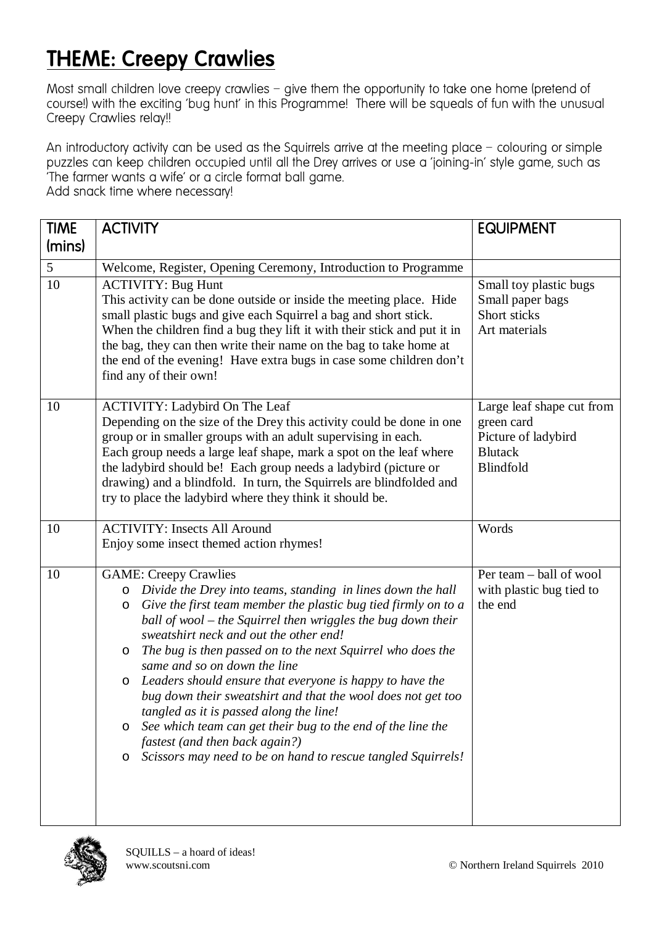## THEME: Creepy Crawlies

Most small children love creepy crawlies – give them the opportunity to take one home (pretend of course!) with the exciting 'bug hunt' in this Programme! There will be squeals of fun with the unusual Creepy Crawlies relay!!

An introductory activity can be used as the Squirrels arrive at the meeting place – colouring or simple puzzles can keep children occupied until all the Drey arrives or use a 'joining-in' style game, such as 'The farmer wants a wife' or a circle format ball game.

Add snack time where necessary!

| <b>TIME</b> | <b>ACTIVITY</b>                                                                                                                                                                                                                                                                                                                                                                                                                                                                                                                                                                                                                                                                                                                                                 | <b>EQUIPMENT</b>                                                                                     |
|-------------|-----------------------------------------------------------------------------------------------------------------------------------------------------------------------------------------------------------------------------------------------------------------------------------------------------------------------------------------------------------------------------------------------------------------------------------------------------------------------------------------------------------------------------------------------------------------------------------------------------------------------------------------------------------------------------------------------------------------------------------------------------------------|------------------------------------------------------------------------------------------------------|
| (mins)      |                                                                                                                                                                                                                                                                                                                                                                                                                                                                                                                                                                                                                                                                                                                                                                 |                                                                                                      |
| 5           | Welcome, Register, Opening Ceremony, Introduction to Programme                                                                                                                                                                                                                                                                                                                                                                                                                                                                                                                                                                                                                                                                                                  |                                                                                                      |
| 10          | <b>ACTIVITY: Bug Hunt</b><br>This activity can be done outside or inside the meeting place. Hide<br>small plastic bugs and give each Squirrel a bag and short stick.<br>When the children find a bug they lift it with their stick and put it in<br>the bag, they can then write their name on the bag to take home at<br>the end of the evening! Have extra bugs in case some children don't<br>find any of their own!                                                                                                                                                                                                                                                                                                                                         | Small toy plastic bugs<br>Small paper bags<br>Short sticks<br>Art materials                          |
| 10          | <b>ACTIVITY: Ladybird On The Leaf</b><br>Depending on the size of the Drey this activity could be done in one<br>group or in smaller groups with an adult supervising in each.<br>Each group needs a large leaf shape, mark a spot on the leaf where<br>the ladybird should be! Each group needs a ladybird (picture or<br>drawing) and a blindfold. In turn, the Squirrels are blindfolded and<br>try to place the ladybird where they think it should be.                                                                                                                                                                                                                                                                                                     | Large leaf shape cut from<br>green card<br>Picture of ladybird<br><b>Blutack</b><br><b>Blindfold</b> |
| 10          | <b>ACTIVITY: Insects All Around</b><br>Enjoy some insect themed action rhymes!                                                                                                                                                                                                                                                                                                                                                                                                                                                                                                                                                                                                                                                                                  | Words                                                                                                |
| 10          | <b>GAME: Creepy Crawlies</b><br>Divide the Drey into teams, standing in lines down the hall<br>$\circ$<br>Give the first team member the plastic bug tied firmly on to a<br>O<br>ball of wool – the Squirrel then wriggles the bug down their<br>sweatshirt neck and out the other end!<br>The bug is then passed on to the next Squirrel who does the<br>O<br>same and so on down the line<br>Leaders should ensure that everyone is happy to have the<br>$\circ$<br>bug down their sweatshirt and that the wool does not get too<br>tangled as it is passed along the line!<br>See which team can get their bug to the end of the line the<br>O<br><i>fastest (and then back again?)</i><br>Scissors may need to be on hand to rescue tangled Squirrels!<br>O | Per team – ball of wool<br>with plastic bug tied to<br>the end                                       |